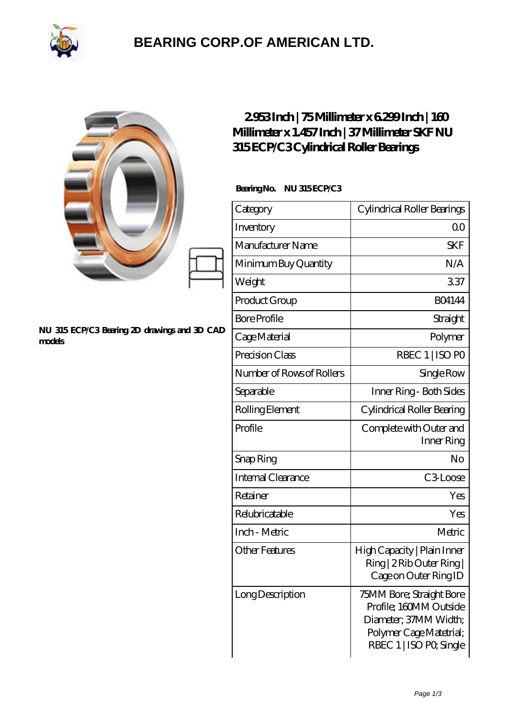

## **[BEARING CORP.OF AMERICAN LTD.](https://2urt-utz.de)**

|                                                        | 2953Inch   75Millimeter x 6299Inch   160<br>Millimeter x 1.457Inch   37Millimeter SKF NU<br>315ECP/C3Cylindrical Roller Bearings |                                                                                                                                   |
|--------------------------------------------------------|----------------------------------------------------------------------------------------------------------------------------------|-----------------------------------------------------------------------------------------------------------------------------------|
| NU 315 ECP/C3 Bearing 2D drawings and 3D CAD<br>models | BearingNo.<br>NU 315ECP/C3                                                                                                       |                                                                                                                                   |
|                                                        | Category                                                                                                                         | Cylindrical Roller Bearings                                                                                                       |
|                                                        | Inventory                                                                                                                        | 0 <sup>0</sup>                                                                                                                    |
|                                                        | Manufacturer Name                                                                                                                | <b>SKF</b>                                                                                                                        |
|                                                        | Minimum Buy Quantity                                                                                                             | N/A                                                                                                                               |
|                                                        | Weight                                                                                                                           | 337                                                                                                                               |
|                                                        | Product Group                                                                                                                    | <b>BO4144</b>                                                                                                                     |
|                                                        | <b>Bore Profile</b>                                                                                                              | Straight                                                                                                                          |
|                                                        | Cage Material                                                                                                                    | Polymer                                                                                                                           |
|                                                        | Precision Class                                                                                                                  | RBEC 1   ISO PO                                                                                                                   |
|                                                        | Number of Rows of Rollers                                                                                                        | Single Row                                                                                                                        |
|                                                        | Separable                                                                                                                        | Inner Ring - Both Sides                                                                                                           |
|                                                        | Rolling Element                                                                                                                  | Cylindrical Roller Bearing                                                                                                        |
|                                                        | Profile                                                                                                                          | Complete with Outer and<br>Inner Ring                                                                                             |
|                                                        | Snap Ring                                                                                                                        | No                                                                                                                                |
|                                                        | <b>Internal Clearance</b>                                                                                                        | C3Loose                                                                                                                           |
|                                                        | Retainer                                                                                                                         | Yes                                                                                                                               |
|                                                        | Relubricatable                                                                                                                   | Yes                                                                                                                               |
|                                                        | Inch - Metric                                                                                                                    | Metric                                                                                                                            |
|                                                        | <b>Other Features</b>                                                                                                            | High Capacity   Plain Inner<br>Ring   2 Rib Outer Ring  <br>Cage on Outer Ring ID                                                 |
|                                                        | Long Description                                                                                                                 | 75MM Bore; Straight Bore<br>Profile; 160MM Outside<br>Diameter; 37MM Width;<br>Polymer Cage Matetrial;<br>RBEC 1   ISO PO, Single |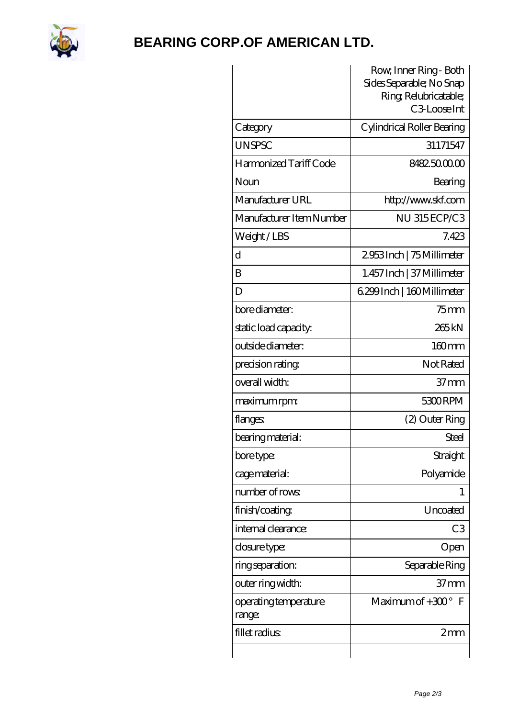

## **[BEARING CORP.OF AMERICAN LTD.](https://2urt-utz.de)**

| Sides Separable; No Snap             |
|--------------------------------------|
| Ring Relubricatable;<br>C3-Loose Int |
| Cylindrical Roller Bearing           |
| 31171547                             |
| 8482.5000.00                         |
| Bearing                              |
| http://www.skf.com                   |
| NU 315ECP/C3                         |
| 7.423                                |
| 2953Inch   75 Millimeter             |
| 1.457 Inch   37 Millimeter           |
| 6.299 Inch   160 Millimeter          |
| $75$ mm                              |
| 265kN                                |
| 160mm                                |
| Not Rated                            |
| $37 \text{mm}$                       |
| 5300RPM                              |
| (2) Outer Ring                       |
| Steel                                |
| Straight                             |
| Polyamide                            |
| 1                                    |
| Uncoated                             |
| C <sub>3</sub>                       |
| Open                                 |
| Separable Ring                       |
| 37 <sub>mm</sub>                     |
| Maximum of $+300^\circ$<br>F         |
| 2mm                                  |
|                                      |